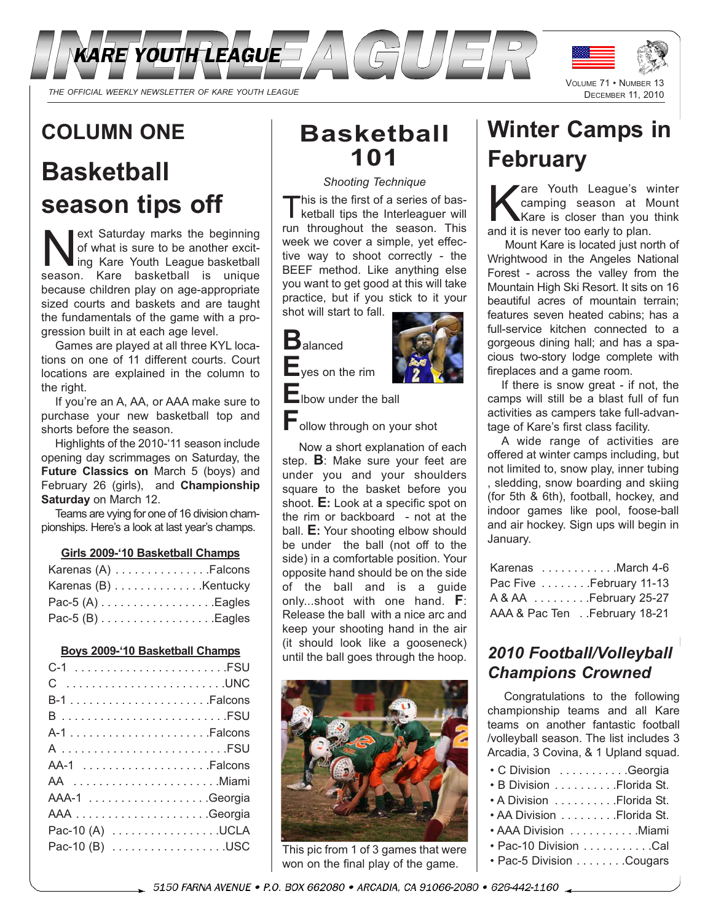

# **COLUMN ONE**

# **Basketball season tips off**

ext Saturday marks the beginning<br>of what is sure to be another excit-<br>ing Kare hasketball is unique of what is sure to be another excit-Ing Kare Youth League basketball season. Kare basketball is unique because children play on age-appropriate sized courts and baskets and are taught the fundamentals of the game with a progression built in at each age level.

Games are played at all three KYL locations on one of 11 different courts. Court locations are explained in the column to the right.

If you're an A, AA, or AAA make sure to purchase your new basketball top and shorts before the season.

Highlights of the 2010-'11 season include opening day scrimmages on Saturday, the **Future Classics on** March 5 (boys) and February 26 (girls), and **Championship Saturday** on March 12.

Teams are vying for one of 16 division championships. Here's a look at last year's champs.

#### **Girls 2009-'10 Basketball Champs**

| Karenas $(A)$ Falcons |  |
|-----------------------|--|
| Karenas (B) Kentucky  |  |
| Pac-5 $(A)$ Eagles    |  |
| Pac-5 $(B)$ Eagles    |  |

#### **Boys 2009-'10 Basketball Champs**

| C UNC           |
|-----------------|
|                 |
|                 |
|                 |
| A FSU           |
|                 |
| AA Miami        |
|                 |
|                 |
| Pac-10 (A) UCLA |
| Pac-10 (B) USC  |
|                 |

# **Basketball 101**

#### *Shooting Technique*

This is the first of a series of bas-<br>ketball tips the Interleaguer will run throughout the season. This week we cover a simple, yet effective way to shoot correctly - the BEEF method. Like anything else you want to get good at this will take practice, but if you stick to it your shot will start to fall.



**E**yes on the rim

**E**lbow under the ball

**F**ollow through on your shot

Now a short explanation of each step. **B**: Make sure your feet are under you and your shoulders square to the basket before you shoot. **E:** Look at a specific spot on the rim or backboard - not at the ball. **E:** Your shooting elbow should be under the ball (not off to the side) in a comfortable position. Your opposite hand should be on the side of the ball and is a guide only...shoot with one hand. **F**: Release the ball with a nice arc and keep your shooting hand in the air (it should look like a gooseneck) until the ball goes through the hoop.



This pic from 1 of 3 games that were won on the final play of the game.

# **Winter Camps in February**

The Youth League's winter<br>
Kare is closer than you think<br>
And it is never too early to plan camping season at Mount and it is never too early to plan.

Mount Kare is located just north of Wrightwood in the Angeles National Forest - across the valley from the Mountain High Ski Resort. It sits on 16 beautiful acres of mountain terrain; features seven heated cabins; has a full-service kitchen connected to a gorgeous dining hall; and has a spacious two-story lodge complete with fireplaces and a game room.

If there is snow great - if not, the camps will still be a blast full of fun activities as campers take full-advantage of Kare's first class facility.

A wide range of activities are offered at winter camps including, but not limited to, snow play, inner tubing , sledding, snow boarding and skiing (for 5th & 6th), football, hockey, and indoor games like pool, foose-ball and air hockey. Sign ups will begin in January.

| Karenas March 4-6            |
|------------------------------|
| Pac Five February 11-13      |
| A & AA February 25-27        |
| AAA & Pac Ten February 18-21 |

# *2010 Football/Volleyball Champions Crowned*

Congratulations to the following championship teams and all Kare teams on another fantastic football /volleyball season. The list includes 3 Arcadia, 3 Covina, & 1 Upland squad.

| • C Division Georgia      |  |
|---------------------------|--|
| • B Division Florida St.  |  |
| • A Division Florida St.  |  |
| • AA Division Florida St. |  |
| • AAA Division Miami      |  |
| • Pac-10 Division Cal     |  |
| • Pac-5 Division Cougars  |  |
|                           |  |